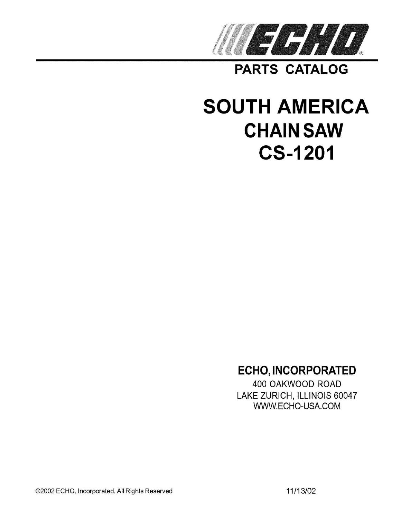

**PARTS CATALOG** 

# **SOUTH AMERICA CHAIN SAW CS-1201**

## **ECHO, INCORPORATED**

400 OAKWOOD ROAD LAKE ZURICH, ILLINOIS 60047 WWW.ECHO-USA.COM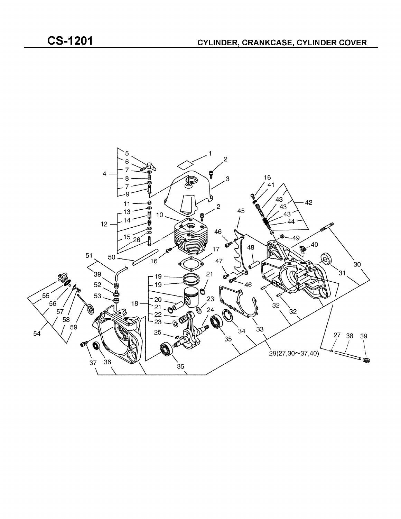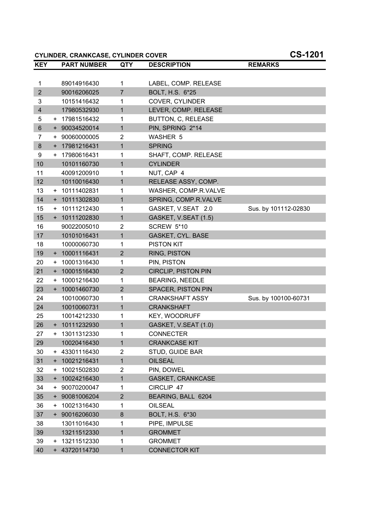**CYLINDER, CRANKCASE, CYLINDER COVER CS-1201**

| <b>KEY</b>              |           | <b>PART NUMBER</b> | <b>QTY</b>     | <b>DESCRIPTION</b>         | <b>REMARKS</b>       |
|-------------------------|-----------|--------------------|----------------|----------------------------|----------------------|
|                         |           |                    |                |                            |                      |
| 1                       |           | 89014916430        | 1              | LABEL, COMP. RELEASE       |                      |
| $\overline{2}$          |           | 90016206025        | $\overline{7}$ | BOLT, H.S. 6*25            |                      |
| 3                       |           | 10151416432        | 1              | COVER, CYLINDER            |                      |
| $\overline{\mathbf{4}}$ |           | 17980532930        | 1              | LEVER, COMP. RELEASE       |                      |
| 5                       |           | + 17981516432      | 1              | BUTTON, C, RELEASE         |                      |
| 6                       |           | + 90034520014      | $\mathbf{1}$   | PIN, SPRING 2*14           |                      |
| 7                       | $+$       | 90060000005        | $\overline{2}$ | <b>WASHER 5</b>            |                      |
| 8                       |           | + 17981216431      | 1              | <b>SPRING</b>              |                      |
| 9                       |           | + 17980616431      | 1              | SHAFT, COMP. RELEASE       |                      |
| 10                      |           | 10101160730        | $\mathbf{1}$   | <b>CYLINDER</b>            |                      |
| 11                      |           | 40091200910        | 1              | NUT, CAP 4                 |                      |
| 12                      |           | 10110016430        | 1              | RELEASE ASSY, COMP.        |                      |
| 13                      |           | + 10111402831      | 1              | WASHER, COMP.R.VALVE       |                      |
| 14                      | $+$       | 10111302830        | 1              | SPRING, COMP.R.VALVE       |                      |
| 15                      |           | + 10111212430      | 1              | GASKET, V.SEAT 2.0         | Sus. by 101112-02830 |
| 15                      |           | + 10111202830      | $\mathbf{1}$   | GASKET, V.SEAT (1.5)       |                      |
| 16                      |           | 90022005010        | $\overline{2}$ | <b>SCREW 5*10</b>          |                      |
| 17                      |           | 10101016431        | $\mathbf{1}$   | GASKET, CYL. BASE          |                      |
| 18                      |           | 10000060730        | 1              | <b>PISTON KIT</b>          |                      |
| 19                      |           | + 10001116431      | $\overline{2}$ | RING, PISTON               |                      |
| 20                      | $\ddot{}$ | 10001316430        | 1              | PIN, PISTON                |                      |
| 21                      |           | + 10001516430      | $\overline{2}$ | <b>CIRCLIP, PISTON PIN</b> |                      |
| 22                      | $+$       | 10001216430        | 1              | <b>BEARING, NEEDLE</b>     |                      |
| 23                      |           | + 10001460730      | $\overline{2}$ | <b>SPACER, PISTON PIN</b>  |                      |
| 24                      |           | 10010060730        | 1              | <b>CRANKSHAFT ASSY</b>     | Sus. by 100100-60731 |
| 24                      |           | 10010060731        | 1              | <b>CRANKSHAFT</b>          |                      |
| 25                      |           | 10014212330        | 1              | KEY, WOODRUFF              |                      |
| 26                      |           | + 10111232930      | $\mathbf{1}$   | GASKET, V.SEAT (1.0)       |                      |
| 27                      |           | + 13011312330      | 1              | <b>CONNECTER</b>           |                      |
| 29                      |           | 10020416430        | $\mathbf{1}$   | <b>CRANKCASE KIT</b>       |                      |
| 30                      |           | + 43301116430      | $\overline{2}$ | STUD, GUIDE BAR            |                      |
| 31                      | $+$       | 10021216431        | 1              | <b>OILSEAL</b>             |                      |
| 32                      | $\ddot{}$ | 10021502830        | $\overline{2}$ | PIN, DOWEL                 |                      |
| 33                      |           | + 10024216430      | 1              | <b>GASKET, CRANKCASE</b>   |                      |
| 34                      | $\pm$     | 90070200047        | 1              | CIRCLIP 47                 |                      |
| 35                      |           | + 90081006204      | $\overline{2}$ | BEARING, BALL 6204         |                      |
| 36                      | $\pm$     | 10021316430        | 1              | <b>OILSEAL</b>             |                      |
| 37                      |           | + 90016206030      | 8              | BOLT, H.S. 6*30            |                      |
| 38                      |           | 13011016430        | 1              | PIPE, IMPULSE              |                      |
| 39                      |           | 13211512330        | 1              | <b>GROMMET</b>             |                      |
| 39                      |           | + 13211512330      | 1              | <b>GROMMET</b>             |                      |
| 40                      |           | + 43720114730      | 1              | <b>CONNECTOR KIT</b>       |                      |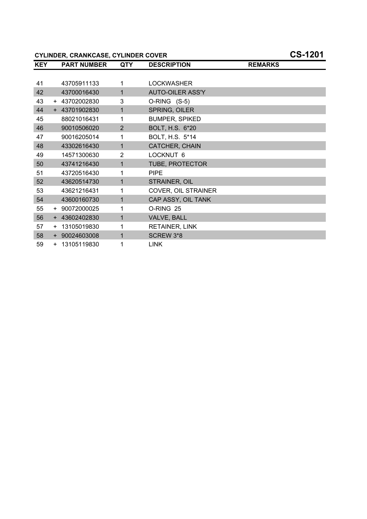## **CYLINDER, CRANKCASE, CYLINDER COVER CS-1201**

| <b>KEY</b> | <b>PART NUMBER</b> | <b>QTY</b>     | <b>DESCRIPTION</b>      | <b>REMARKS</b> |
|------------|--------------------|----------------|-------------------------|----------------|
|            |                    |                |                         |                |
| 41         | 43705911133        | 1              | <b>LOCKWASHER</b>       |                |
| 42         | 43700016430        | $\mathbf{1}$   | <b>AUTO-OILER ASS'Y</b> |                |
| 43         | + 43702002830      | 3              | O-RING (S-5)            |                |
| 44         | + 43701902830      | 1              | SPRING, OILER           |                |
| 45         | 88021016431        | 1              | <b>BUMPER, SPIKED</b>   |                |
| 46         | 90010506020        | $\overline{2}$ | BOLT, H.S. 6*20         |                |
| 47         | 90016205014        | 1              | BOLT, H.S. 5*14         |                |
| 48         | 43302616430        | 1              | CATCHER, CHAIN          |                |
| 49         | 14571300630        | 2              | LOCKNUT 6               |                |
| 50         | 43741216430        | 1              | TUBE, PROTECTOR         |                |
| 51         | 43720516430        | 1              | <b>PIPE</b>             |                |
| 52         | 43620514730        | 1              | STRAINER, OIL           |                |
| 53         | 43621216431        | 1              | COVER, OIL STRAINER     |                |
| 54         | 43600160730        | 1              | CAP ASSY, OIL TANK      |                |
| 55         | + 90072000025      | 1              | O-RING 25               |                |
| 56         | + 43602402830      | 1              | VALVE, BALL             |                |
| 57         | + 13105019830      | 1              | RETAINER, LINK          |                |
| 58         | + 90024603008      | 1              | SCREW 3*8               |                |
| 59         | + 13105119830      | 1              | <b>LINK</b>             |                |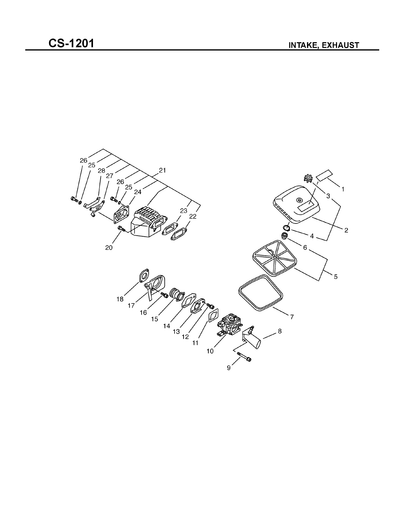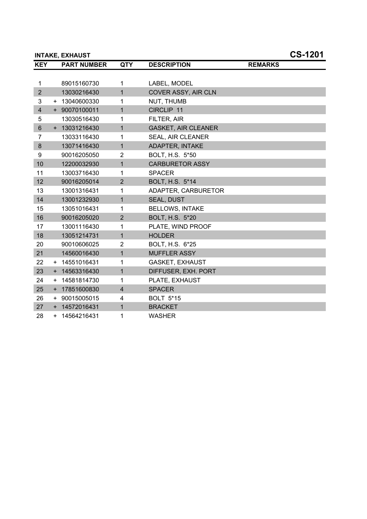|                | <b>INTAKE, EXHAUST</b> |                |                            |                | <b>CS-1201</b> |
|----------------|------------------------|----------------|----------------------------|----------------|----------------|
| <b>KEY</b>     | <b>PART NUMBER</b>     | <b>QTY</b>     | <b>DESCRIPTION</b>         | <b>REMARKS</b> |                |
|                |                        |                |                            |                |                |
| $\mathbf{1}$   | 89015160730            | $\mathbf{1}$   | LABEL, MODEL               |                |                |
| $\overline{2}$ | 13030216430            | $\mathbf{1}$   | COVER ASSY, AIR CLN        |                |                |
| 3              | + 13040600330          | 1              | NUT, THUMB                 |                |                |
| $\overline{4}$ | + 90070100011          | 1              | CIRCLIP 11                 |                |                |
| 5              | 13030516430            | 1              | FILTER, AIR                |                |                |
| $6\phantom{1}$ | + 13031216430          | 1              | <b>GASKET, AIR CLEANER</b> |                |                |
| $\overline{7}$ | 13033116430            | 1              | SEAL, AIR CLEANER          |                |                |
| 8              | 13071416430            | 1              | ADAPTER, INTAKE            |                |                |
| 9              | 90016205050            | $\overline{2}$ | BOLT, H.S. 5*50            |                |                |
| 10             | 12200032930            | 1              | <b>CARBURETOR ASSY</b>     |                |                |
| 11             | 13003716430            | 1              | <b>SPACER</b>              |                |                |
| 12             | 90016205014            | $\overline{2}$ | BOLT, H.S. 5*14            |                |                |
| 13             | 13001316431            | 1              | ADAPTER, CARBURETOR        |                |                |
| 14             | 13001232930            | 1              | <b>SEAL, DUST</b>          |                |                |
| 15             | 13051016431            | 1              | <b>BELLOWS, INTAKE</b>     |                |                |
| 16             | 90016205020            | $\overline{2}$ | BOLT, H.S. 5*20            |                |                |
| 17             | 13001116430            | 1              | PLATE, WIND PROOF          |                |                |
| 18             | 13051214731            | 1              | <b>HOLDER</b>              |                |                |
| 20             | 90010606025            | 2              | BOLT, H.S. 6*25            |                |                |
| 21             | 14560016430            | $\mathbf{1}$   | <b>MUFFLER ASSY</b>        |                |                |
| 22             | + 14551016431          | 1              | <b>GASKET, EXHAUST</b>     |                |                |
| 23             | + 14563316430          | 1              | DIFFUSER, EXH. PORT        |                |                |
| 24             | + 14581814730          | 1              | PLATE, EXHAUST             |                |                |
| 25             | + 17851600830          | 4              | <b>SPACER</b>              |                |                |
| 26             | + 90015005015          | 4              | <b>BOLT 5*15</b>           |                |                |
| 27             | + 14572016431          | $\mathbf{1}$   | <b>BRACKET</b>             |                |                |
| 28             | + 14564216431          | 1              | <b>WASHER</b>              |                |                |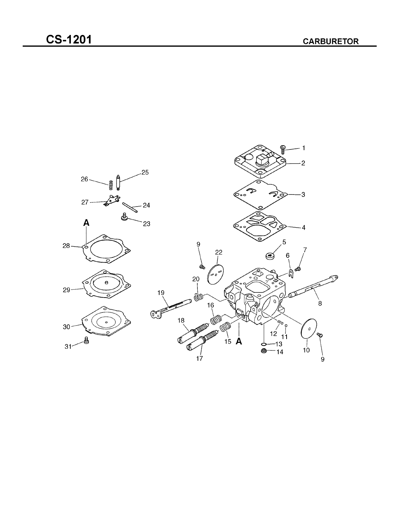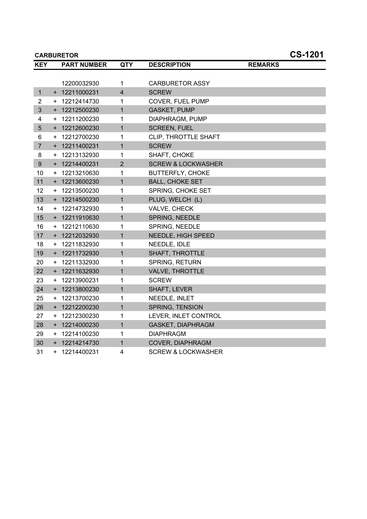|                | <b>CS-1201</b><br><b>CARBURETOR</b> |                    |                         |                               |                |  |  |
|----------------|-------------------------------------|--------------------|-------------------------|-------------------------------|----------------|--|--|
| <b>KEY</b>     |                                     | <b>PART NUMBER</b> | <b>QTY</b>              | <b>DESCRIPTION</b>            | <b>REMARKS</b> |  |  |
|                |                                     |                    |                         |                               |                |  |  |
|                |                                     | 12200032930        | 1                       | <b>CARBURETOR ASSY</b>        |                |  |  |
| $\mathbf{1}$   |                                     | + 12211000231      | $\overline{\mathbf{4}}$ | <b>SCREW</b>                  |                |  |  |
| $\overline{2}$ | $+$                                 | 12212414730        | 1                       | COVER, FUEL PUMP              |                |  |  |
| 3              |                                     | + 12212500230      | $\mathbf{1}$            | <b>GASKET, PUMP</b>           |                |  |  |
| 4              |                                     | + 12211200230      | 1                       | DIAPHRAGM, PUMP               |                |  |  |
| 5              |                                     | + 12212600230      | $\mathbf{1}$            | <b>SCREEN, FUEL</b>           |                |  |  |
| 6              |                                     | + 12212700230      | 1                       | CLIP, THROTTLE SHAFT          |                |  |  |
| $\overline{7}$ |                                     | + 12211400231      | $\mathbf{1}$            | <b>SCREW</b>                  |                |  |  |
| 8              |                                     | + 12213132930      | 1                       | SHAFT, CHOKE                  |                |  |  |
| 9              |                                     | + 12214400231      | $\overline{2}$          | <b>SCREW &amp; LOCKWASHER</b> |                |  |  |
| 10             | $+$                                 | 12213210630        | 1                       | <b>BUTTERFLY, CHOKE</b>       |                |  |  |
| 11             |                                     | + 12213600230      | $\mathbf{1}$            | <b>BALL, CHOKE SET</b>        |                |  |  |
| 12             | $+$                                 | 12213500230        | 1                       | SPRING, CHOKE SET             |                |  |  |
| 13             |                                     | + 12214500230      | $\mathbf{1}$            | PLUG, WELCH (L)               |                |  |  |
| 14             |                                     | + 12214732930      | 1                       | VALVE, CHECK                  |                |  |  |
| 15             |                                     | + 12211910630      | $\mathbf{1}$            | SPRING, NEEDLE                |                |  |  |
| 16             |                                     | + 12212110630      | 1                       | SPRING, NEEDLE                |                |  |  |
| 17             |                                     | + 12212032930      | $\mathbf{1}$            | NEEDLE, HIGH SPEED            |                |  |  |
| 18             |                                     | + 12211832930      | 1                       | NEEDLE, IDLE                  |                |  |  |
| 19             |                                     | + 12211732930      | $\mathbf{1}$            | SHAFT, THROTTLE               |                |  |  |
| 20             | $+$                                 | 12211332930        | 1                       | <b>SPRING, RETURN</b>         |                |  |  |
| 22             |                                     | + 12211632930      | $\mathbf{1}$            | VALVE, THROTTLE               |                |  |  |
| 23             | $+$                                 | 12213900231        | 1                       | <b>SCREW</b>                  |                |  |  |
| 24             |                                     | + 12213800230      | $\mathbf{1}$            | SHAFT, LEVER                  |                |  |  |
| 25             | $+$                                 | 12213700230        | 1                       | NEEDLE, INLET                 |                |  |  |
| 26             |                                     | + 12212200230      | $\mathbf{1}$            | SPRING, TENSION               |                |  |  |
| 27             | $+$                                 | 12212300230        | 1                       | LEVER, INLET CONTROL          |                |  |  |
| 28             |                                     | + 12214000230      | $\mathbf{1}$            | <b>GASKET, DIAPHRAGM</b>      |                |  |  |
| 29             |                                     | + 12214100230      | 1                       | <b>DIAPHRAGM</b>              |                |  |  |
| 30             |                                     | + 12214214730      | 1                       | COVER, DIAPHRAGM              |                |  |  |
| 31             |                                     | + 12214400231      | 4                       | <b>SCREW &amp; LOCKWASHER</b> |                |  |  |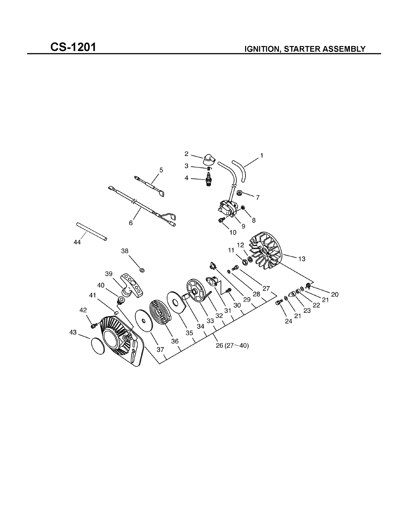

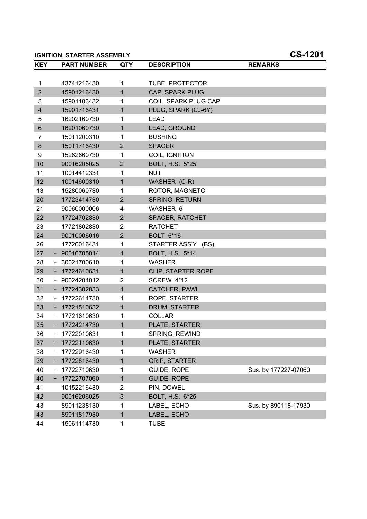|                         |           | <b>IGNITION, STARTER ASSEMBLY</b> |                | <b>CS-1201</b>            |                      |  |
|-------------------------|-----------|-----------------------------------|----------------|---------------------------|----------------------|--|
| <b>KEY</b>              |           | <b>PART NUMBER</b>                | <b>QTY</b>     | <b>DESCRIPTION</b>        | <b>REMARKS</b>       |  |
|                         |           |                                   |                |                           |                      |  |
| 1                       |           | 43741216430                       | 1              | TUBE, PROTECTOR           |                      |  |
| $\overline{2}$          |           | 15901216430                       | $\mathbf{1}$   | CAP, SPARK PLUG           |                      |  |
| 3                       |           | 15901103432                       | 1              | COIL, SPARK PLUG CAP      |                      |  |
| $\overline{\mathbf{4}}$ |           | 15901716431                       | 1              | PLUG, SPARK (CJ-6Y)       |                      |  |
| 5                       |           | 16202160730                       | 1              | <b>LEAD</b>               |                      |  |
| $6\phantom{1}$          |           | 16201060730                       | 1              | LEAD, GROUND              |                      |  |
| 7                       |           | 15011200310                       | 1              | <b>BUSHING</b>            |                      |  |
| 8                       |           | 15011716430                       | $\overline{2}$ | <b>SPACER</b>             |                      |  |
| 9                       |           | 15262660730                       | 1              | COIL, IGNITION            |                      |  |
| 10                      |           | 90016205025                       | $\overline{2}$ | BOLT, H.S. 5*25           |                      |  |
| 11                      |           | 10014412331                       | 1              | <b>NUT</b>                |                      |  |
| 12                      |           | 10014600310                       | 1              | WASHER (C-R)              |                      |  |
| 13                      |           | 15280060730                       | 1              | ROTOR, MAGNETO            |                      |  |
| 20                      |           | 17723414730                       | $\overline{2}$ | <b>SPRING, RETURN</b>     |                      |  |
| 21                      |           | 90060000006                       | 4              | WASHER 6                  |                      |  |
| 22                      |           | 17724702830                       | $\overline{2}$ | <b>SPACER, RATCHET</b>    |                      |  |
| 23                      |           | 17721802830                       | $\overline{c}$ | <b>RATCHET</b>            |                      |  |
| 24                      |           | 90010006016                       | $\overline{2}$ | <b>BOLT 6*16</b>          |                      |  |
| 26                      |           | 17720016431                       | 1              | STARTER ASS'Y (BS)        |                      |  |
| 27                      |           | + 90016705014                     | 1              | BOLT, H.S. 5*14           |                      |  |
| 28                      |           | + 30021700610                     | 1              | <b>WASHER</b>             |                      |  |
| 29                      |           | + 17724610631                     | 1              | <b>CLIP, STARTER ROPE</b> |                      |  |
| 30                      |           | + 90024204012                     | $\overline{c}$ | SCREW 4*12                |                      |  |
| 31                      |           | + 17724302833                     | 1              | CATCHER, PAWL             |                      |  |
| 32                      |           | + 17722614730                     | 1              | ROPE, STARTER             |                      |  |
| 33                      |           | + 17721510632                     | 1              | DRUM, STARTER             |                      |  |
| 34                      |           | + 17721610630                     | 1              | <b>COLLAR</b>             |                      |  |
| 35                      |           | + 17724214730                     | 1              | PLATE, STARTER            |                      |  |
| 36                      |           | + 17722010631                     | 1              | SPRING, REWIND            |                      |  |
| 37                      | $\ddot{}$ | 17722110630                       | 1              | PLATE, STARTER            |                      |  |
| 38                      | +         | 17722916430                       | 1              | <b>WASHER</b>             |                      |  |
| 39                      | $+$       | 17722816430                       | 1              | <b>GRIP, STARTER</b>      |                      |  |
| 40                      | +         | 17722710630                       | 1              | GUIDE, ROPE               | Sus. by 177227-07060 |  |
| 40                      |           | + 17722707060                     | 1              | <b>GUIDE, ROPE</b>        |                      |  |
| 41                      |           | 10152216430                       | 2              | PIN, DOWEL                |                      |  |
| 42                      |           | 90016206025                       | 3              | BOLT, H.S. 6*25           |                      |  |
| 43                      |           | 89011238130                       | 1              | LABEL, ECHO               | Sus. by 890118-17930 |  |
| 43                      |           | 89011817930                       | 1              | LABEL, ECHO               |                      |  |
| 44                      |           | 15061114730                       | 1              | <b>TUBE</b>               |                      |  |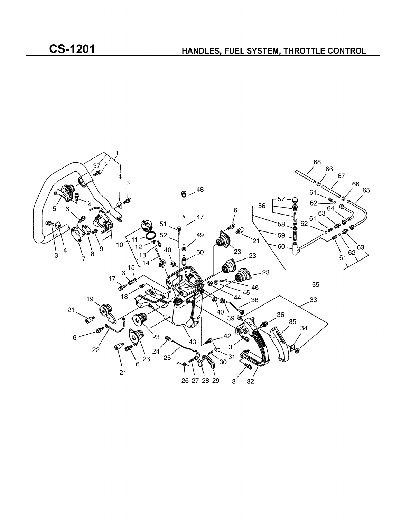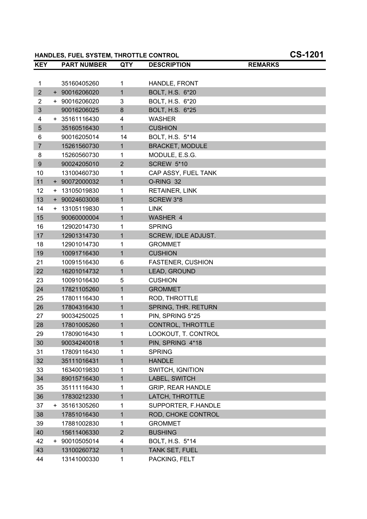## **HANDLES, FUEL SYSTEM, THROTTLE CONTROL CS-1201**

| <b>KEY</b>     |       | <b>PART NUMBER</b> | <b>QTY</b>     | <b>DESCRIPTION</b>       | <b>REMARKS</b> |
|----------------|-------|--------------------|----------------|--------------------------|----------------|
|                |       |                    |                |                          |                |
| 1              |       | 35160405260        | 1              | HANDLE, FRONT            |                |
| $\overline{2}$ |       | + 90016206020      | $\mathbf{1}$   | <b>BOLT, H.S. 6*20</b>   |                |
| 2              |       | + 90016206020      | 3              | BOLT, H.S. 6*20          |                |
| 3              |       | 90016206025        | 8              | BOLT, H.S. 6*25          |                |
| 4              |       | + 35161116430      | 4              | <b>WASHER</b>            |                |
| 5              |       | 35160516430        | 1              | <b>CUSHION</b>           |                |
| 6              |       | 90016205014        | 14             | BOLT, H.S. 5*14          |                |
| $\overline{7}$ |       | 15261560730        | 1              | <b>BRACKET, MODULE</b>   |                |
| 8              |       | 15260560730        | 1              | MODULE, E.S.G.           |                |
| 9              |       | 90024205010        | $\overline{2}$ | <b>SCREW 5*10</b>        |                |
| 10             |       | 13100460730        | 1              | CAP ASSY, FUEL TANK      |                |
| 11             |       | + 90072000032      | 1              | O-RING 32                |                |
| 12             |       | + 13105019830      | 1              | <b>RETAINER, LINK</b>    |                |
| 13             |       | + 90024603008      | 1              | SCREW 3*8                |                |
| 14             |       | + 13105119830      | 1              | <b>LINK</b>              |                |
| 15             |       | 90060000004        | 1              | <b>WASHER 4</b>          |                |
| 16             |       | 12902014730        | 1              | <b>SPRING</b>            |                |
| 17             |       | 12901314730        | 1              | SCREW, IDLE ADJUST.      |                |
| 18             |       | 12901014730        | 1              | <b>GROMMET</b>           |                |
| 19             |       | 10091716430        | 1              | <b>CUSHION</b>           |                |
| 21             |       | 10091516430        | 6              | <b>FASTENER, CUSHION</b> |                |
| 22             |       | 16201014732        | 1              | LEAD, GROUND             |                |
| 23             |       | 10091016430        | 5              | <b>CUSHION</b>           |                |
| 24             |       | 17821105260        | 1              | <b>GROMMET</b>           |                |
| 25             |       | 17801116430        | 1              | ROD, THROTTLE            |                |
| 26             |       | 17804316430        | 1              | SPRING, THR. RETURN      |                |
| 27             |       | 90034250025        | 1              | PIN, SPRING 5*25         |                |
| 28             |       | 17801005260        | 1              | CONTROL, THROTTLE        |                |
| 29             |       | 17809016430        | 1              | LOOKOUT, T. CONTROL      |                |
| 30             |       | 90034240018        | 1              | PIN, SPRING 4*18         |                |
| 31             |       | 17809116430        | 1              | <b>SPRING</b>            |                |
| 32             |       | 35111016431        | 1              | <b>HANDLE</b>            |                |
| 33             |       | 16340019830        | 1              | SWITCH, IGNITION         |                |
| 34             |       | 89015716430        | 1              | LABEL, SWITCH            |                |
| 35             |       | 35111116430        | 1              | <b>GRIP, REAR HANDLE</b> |                |
| 36             |       | 17830212330        | 1              | LATCH, THROTTLE          |                |
| 37             | $\pm$ | 35161305260        | 1              | SUPPORTER, F.HANDLE      |                |
| 38             |       | 17851016430        | 1              | ROD, CHOKE CONTROL       |                |
| 39             |       | 17881002830        | 1              | <b>GROMMET</b>           |                |
| 40             |       | 15611406330        | $\overline{2}$ | <b>BUSHING</b>           |                |
| 42             |       | + 90010505014      | 4              | BOLT, H.S. 5*14          |                |
| 43             |       | 13100260732        | 1              | TANK SET, FUEL           |                |
| 44             |       | 13141000330        | 1              | PACKING, FELT            |                |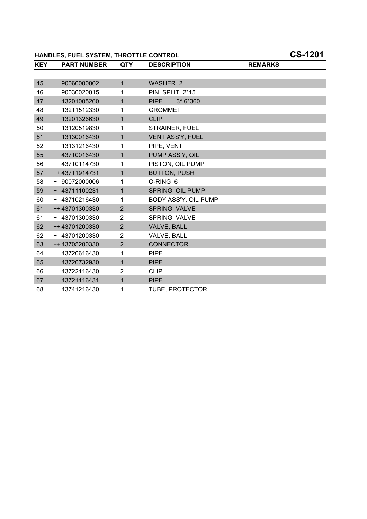## **HANDLES, FUEL SYSTEM, THROTTLE CONTROL CS-1201**

| <b>KEY</b> | <b>PART NUMBER</b> | <b>QTY</b>     | <b>DESCRIPTION</b>      | <b>REMARKS</b> |  |
|------------|--------------------|----------------|-------------------------|----------------|--|
|            |                    |                |                         |                |  |
| 45         | 90060000002        | $\mathbf{1}$   | <b>WASHER 2</b>         |                |  |
| 46         | 90030020015        | 1              | PIN, SPLIT 2*15         |                |  |
| 47         | 13201005260        | $\mathbf 1$    | <b>PIPE</b><br>3* 6*360 |                |  |
| 48         | 13211512330        | 1              | <b>GROMMET</b>          |                |  |
| 49         | 13201326630        | $\mathbf{1}$   | <b>CLIP</b>             |                |  |
| 50         | 13120519830        | 1              | STRAINER, FUEL          |                |  |
| 51         | 13130016430        | $\mathbf{1}$   | <b>VENT ASS'Y, FUEL</b> |                |  |
| 52         | 13131216430        | 1              | PIPE, VENT              |                |  |
| 55         | 43710016430        | $\mathbf{1}$   | PUMP ASS'Y, OIL         |                |  |
| 56         | + 43710114730      | 1              | PISTON, OIL PUMP        |                |  |
| 57         | ++43711914731      | $\mathbf{1}$   | <b>BUTTON, PUSH</b>     |                |  |
| 58         | + 90072000006      | 1              | O-RING 6                |                |  |
| 59         | + 43711100231      | $\mathbf{1}$   | SPRING, OIL PUMP        |                |  |
| 60         | + 43710216430      | 1              | BODY ASS'Y, OIL PUMP    |                |  |
| 61         | ++43701300330      | $\overline{2}$ | SPRING, VALVE           |                |  |
| 61         | + 43701300330      | 2              | SPRING, VALVE           |                |  |
| 62         | ++43701200330      | $\overline{2}$ | VALVE, BALL             |                |  |
| 62         | + 43701200330      | $\overline{2}$ | VALVE, BALL             |                |  |
| 63         | ++43705200330      | $\overline{2}$ | <b>CONNECTOR</b>        |                |  |
| 64         | 43720616430        | 1              | <b>PIPE</b>             |                |  |
| 65         | 43720732930        | 1              | <b>PIPE</b>             |                |  |
| 66         | 43722116430        | $\overline{2}$ | <b>CLIP</b>             |                |  |
| 67         | 43721116431        | $\mathbf{1}$   | <b>PIPE</b>             |                |  |
| 68         | 43741216430        | 1              | <b>TUBE, PROTECTOR</b>  |                |  |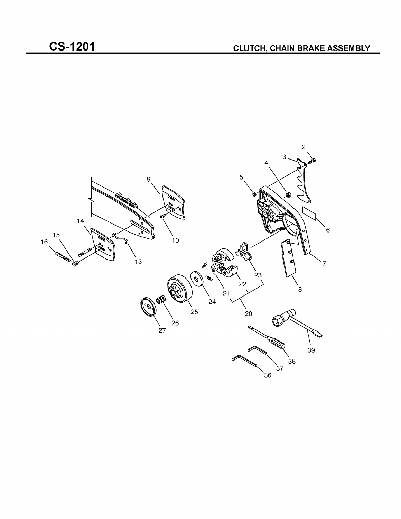